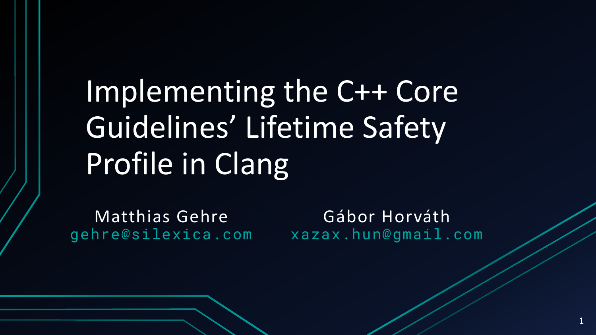# Implementing the C++ Core Guidelines' Lifetime Safety Profile in Clang

Matthias Gehre gehre@silexica.com

Gábor Horváth xazax.hun@gmail.com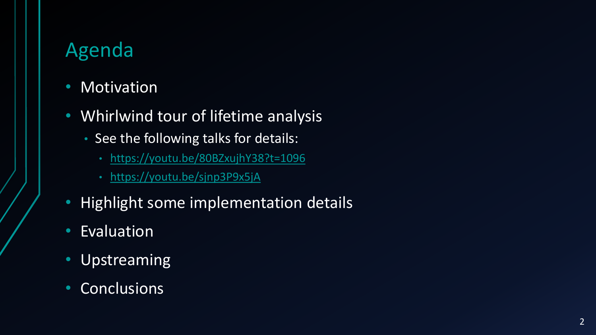# Agenda

- Motivation
- Whirlwind tour of lifetime analysis
	- See the following talks for details:
		- <https://youtu.be/80BZxujhY38?t=1096>
		- <https://youtu.be/sjnp3P9x5jA>
- Highlight some implementation details
- Evaluation
- Upstreaming
- Conclusions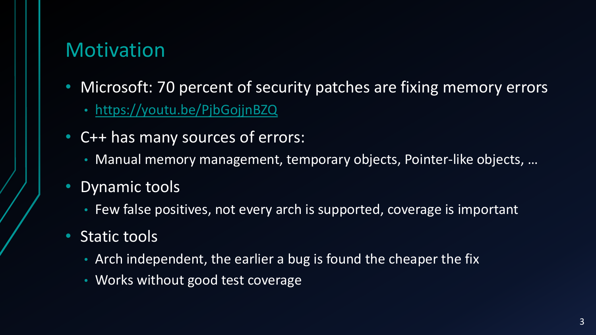# **Motivation**

- Microsoft: 70 percent of security patches are fixing memory errors
	- <https://youtu.be/PjbGojjnBZQ>
- C++ has many sources of errors:
	- Manual memory management, temporary objects, Pointer-like objects, ...
- Dynamic tools
	- Few false positives, not every arch is supported, coverage is important
- Static tools
	- Arch independent, the earlier a bug is found the cheaper the fix
	- Works without good test coverage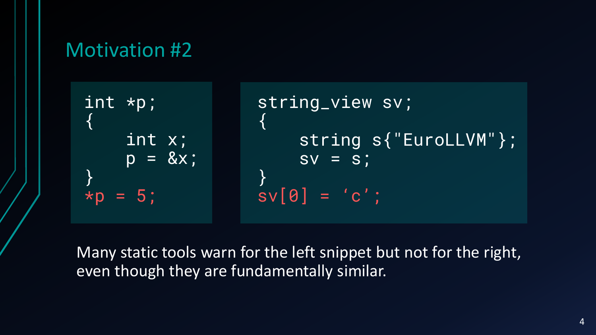#### Motivation #2

int \*p; { int x;  $p = \&x$ }  $*p = 5$ string\_view sv; { string s{"EuroLLVM"};  $\overline{sv} = \overline{s}$ ; }  $sv[0] = 'c';$ 

Many static tools warn for the left snippet but not for the right, even though they are fundamentally similar.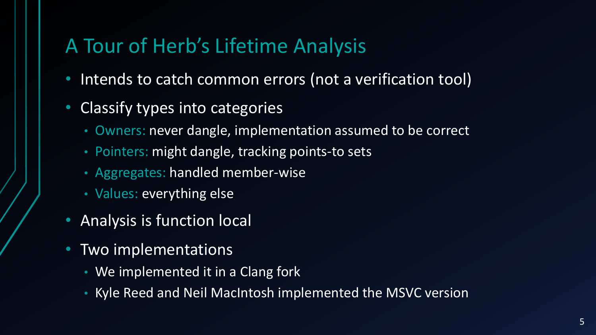# A Tour of Herb's Lifetime Analysis

- Intends to catch common errors (not a verification tool)
- Classify types into categories
	- Owners: never dangle, implementation assumed to be correct
	- Pointers: might dangle, tracking points-to sets
	- Aggregates: handled member-wise
	- Values: everything else
- Analysis is function local
- Two implementations
	- We implemented it in a Clang fork
	- Kyle Reed and Neil MacIntosh implemented the MSVC version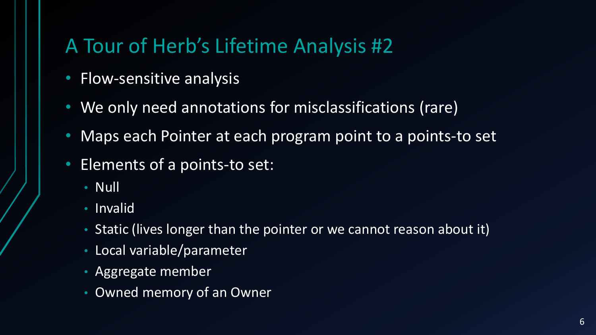# A Tour of Herb's Lifetime Analysis #2

- Flow-sensitive analysis
- We only need annotations for misclassifications (rare)
- Maps each Pointer at each program point to a points-to set
- Elements of a points-to set:
	- Null
	- Invalid
	- Static (lives longer than the pointer or we cannot reason about it)
	- Local variable/parameter
	- Aggregate member
	- Owned memory of an Owner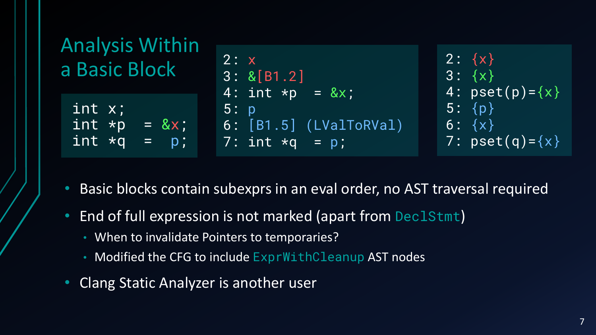

- Basic blocks contain subexprs in an eval order, no AST traversal required
- End of full expression is not marked (apart from DeclStmt)
	- When to invalidate Pointers to temporaries?
	- Modified the CFG to include ExprWithCleanup AST nodes
- Clang Static Analyzer is another user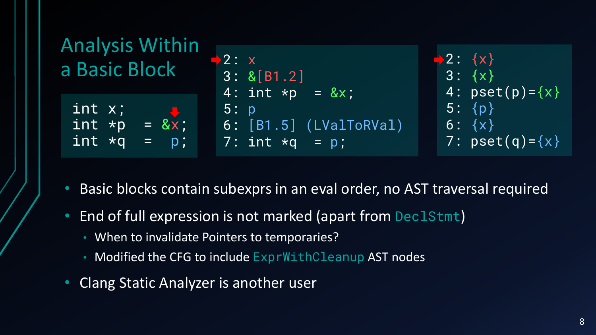

- Basic blocks contain subexprs in an eval order, no AST traversal required
- End of full expression is not marked (apart from DeclStmt)
	- When to invalidate Pointers to temporaries?
	- Modified the CFG to include ExprWithCleanup AST nodes
- Clang Static Analyzer is another user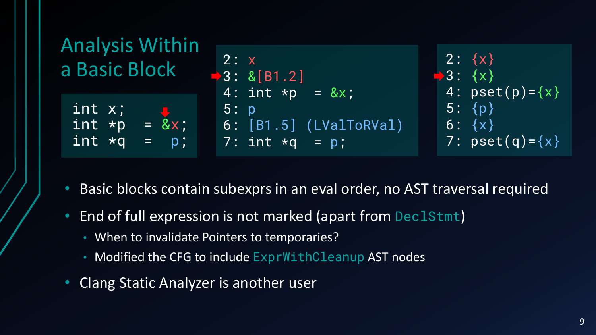

- Basic blocks contain subexprs in an eval order, no AST traversal required
- End of full expression is not marked (apart from DeclStmt)
	- When to invalidate Pointers to temporaries?
	- Modified the CFG to include ExprWithCleanup AST nodes
- Clang Static Analyzer is another user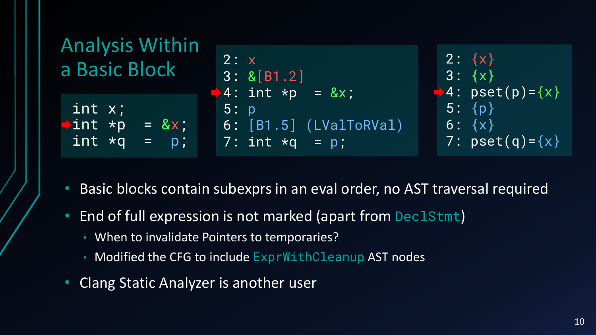

- Basic blocks contain subexprs in an eval order, no AST traversal required
- End of full expression is not marked (apart from DeclStmt)
	- When to invalidate Pointers to temporaries?
	- Modified the CFG to include ExprWithCleanup AST nodes
- Clang Static Analyzer is another user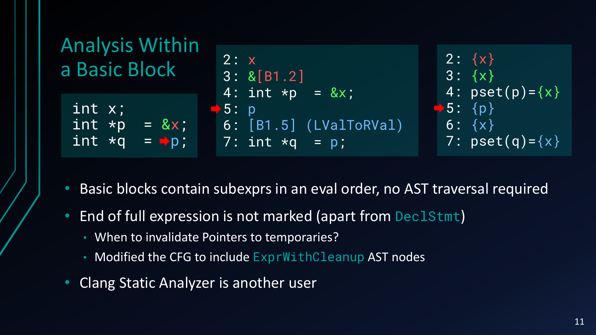

- Basic blocks contain subexprs in an eval order, no AST traversal required
- End of full expression is not marked (apart from DeclStmt)
	- When to invalidate Pointers to temporaries?
	- Modified the CFG to include ExprWithCleanup AST nodes
- Clang Static Analyzer is another user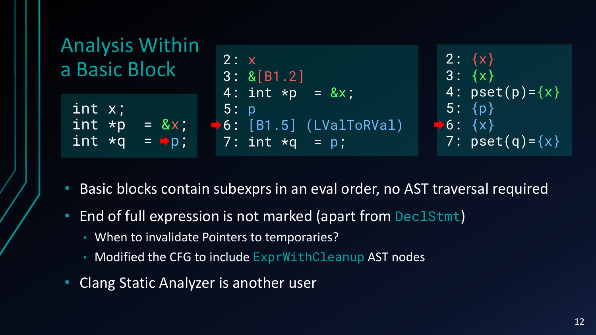

- Basic blocks contain subexprs in an eval order, no AST traversal required
- End of full expression is not marked (apart from DeclStmt)
	- When to invalidate Pointers to temporaries?
	- Modified the CFG to include ExprWithCleanup AST nodes
- Clang Static Analyzer is another user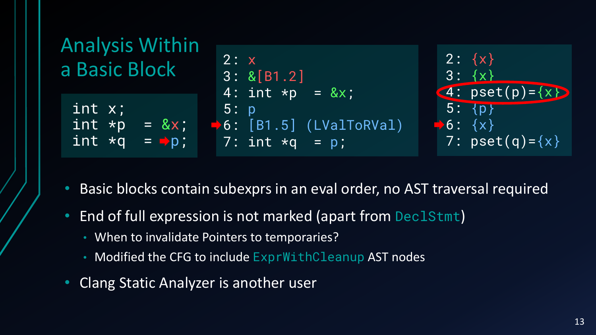

- Basic blocks contain subexprs in an eval order, no AST traversal required
- End of full expression is not marked (apart from DeclStmt)
	- When to invalidate Pointers to temporaries?
	- Modified the CFG to include ExprWithCleanup AST nodes
- Clang Static Analyzer is another user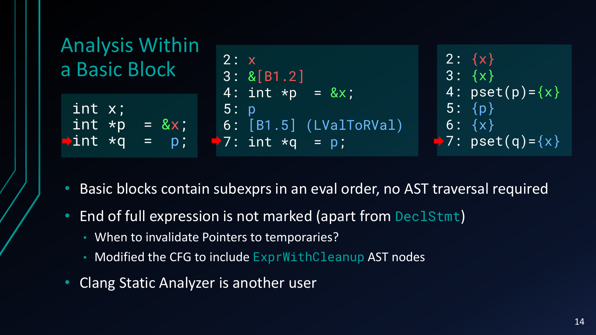

- Basic blocks contain subexprs in an eval order, no AST traversal required
- End of full expression is not marked (apart from DeclStmt)
	- When to invalidate Pointers to temporaries?
	- Modified the CFG to include ExprWithCleanup AST nodes
- Clang Static Analyzer is another user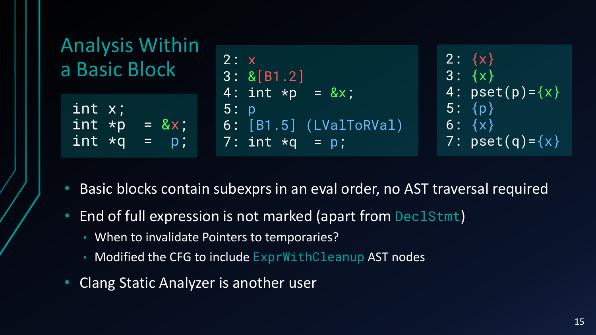

- Basic blocks contain subexprs in an eval order, no AST traversal required
- End of full expression is not marked (apart from DeclStmt)
	- When to invalidate Pointers to temporaries?
	- Modified the CFG to include ExprWithCleanup AST nodes
- Clang Static Analyzer is another user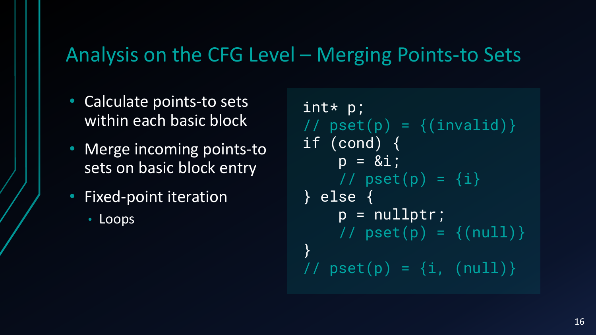#### Analysis on the CFG Level – Merging Points-to Sets

- Calculate points-to sets within each basic block
- Merge incoming points-to sets on basic block entry
- Fixed-point iteration
	- Loops

```
int* p;
// pset(p) = \{(invaid)\}\if (cond) {
    p = 8i;
    \sqrt{7} pset(p) = {i}
} else {
    p = nullptr;
    // pset(p) = \{(null)\}\}
// pset(p) = {i, (null)}
```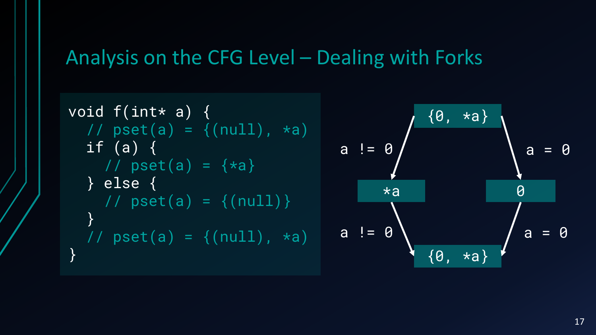# Analysis on the CFG Level – Dealing with Forks

void f(int\* a) { // pset(a) = {(null), \*a) if (a) { // pset(a) = {\*a} } else { // pset(a) = {(null)} } // pset(a) = {(null), \*a) } {0, \*a} \*a 0 a != 0 a = 0 a != 0 a = 0 {0, \*a}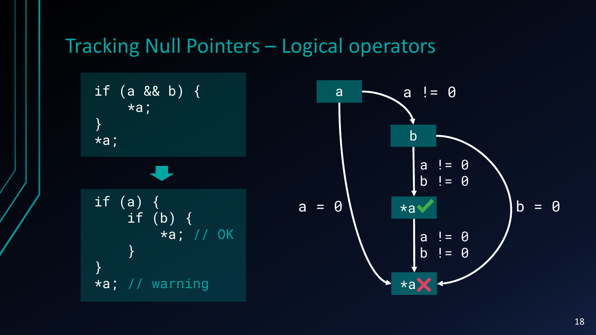#### Tracking Null Pointers – Logical operators

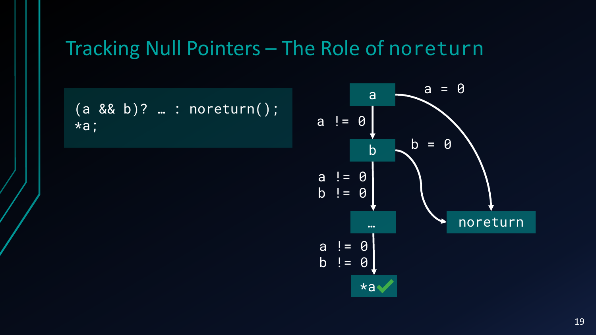#### Tracking Null Pointers – The Role of noreturn

$$
(a & 8 & b)? \dots : norenturn();
$$
  
\n $*a;$ 

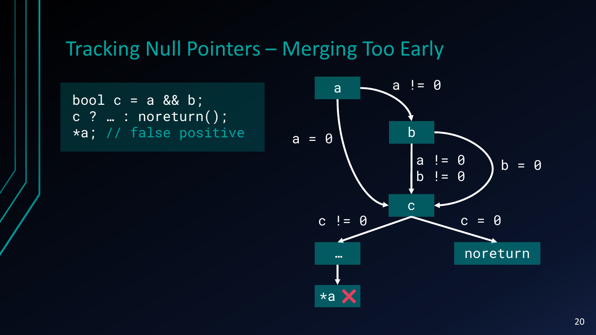#### Tracking Null Pointers – Merging Too Early

bool  $c = a$  && b; c ? … : noreturn(); \*a; // false positive

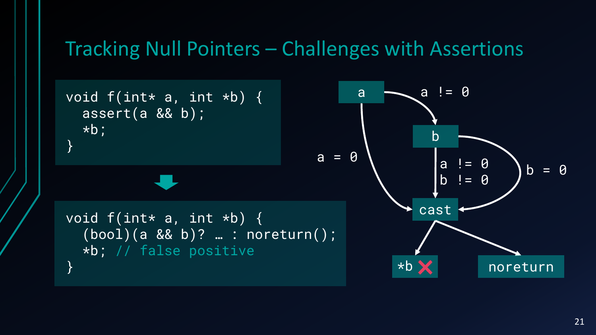#### Tracking Null Pointers – Challenges with Assertions

void  $f(int * a, int *b)$  { assert(a && b); \*b; }

void  $f(int * a, int *b)$  { (bool)(a && b)? … : noreturn(); \*b; // false positive }

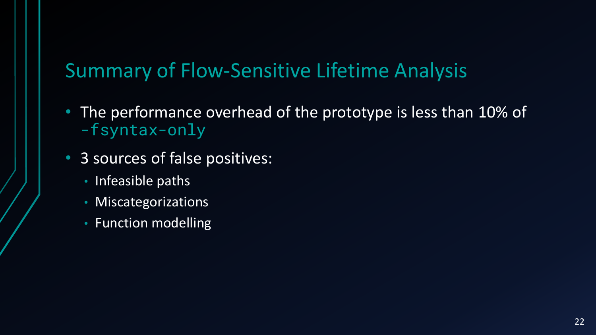# Summary of Flow-Sensitive Lifetime Analysis

- The performance overhead of the prototype is less than 10% of -fsyntax-only
- 3 sources of false positives:
	- Infeasible paths
	- Miscategorizations
	- Function modelling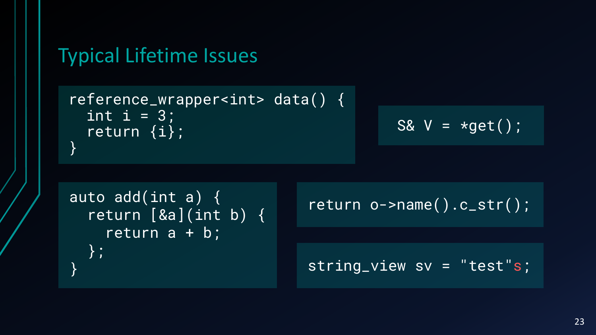#### Typical Lifetime Issues

reference\_wrapper<int> data() { int  $i = 3$ ; return {i}; }

$$
S& V = *get();
$$

```
auto add(int a) \{ return o->name().c_str();
 return [&a](int b) {
   return a + b;
  };
```
string\_view sv = "test"s;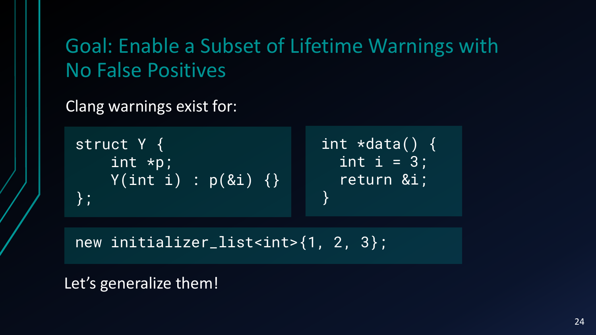Goal: Enable a Subset of Lifetime Warnings with No False Positives

Clang warnings exist for:

struct Y { int \*p;  $Y(\overline{\texttt{int i}}) : p(\&\texttt{i})$ };

int  $\star$ data() {  $\overline{\texttt{int}}$   $\overline{\texttt{i}}$  = 3; return &i; }

new initializer\_list<int>{1, 2, 3};

Let's generalize them!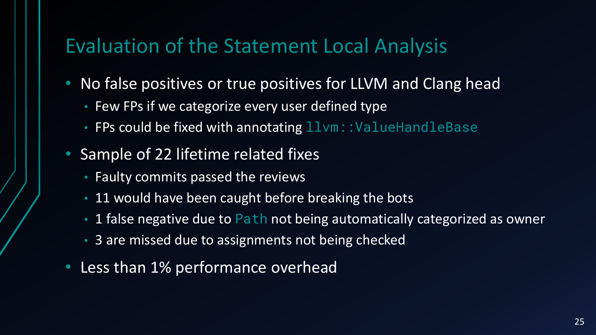# Evaluation of the Statement Local Analysis

- No false positives or true positives for LLVM and Clang head
	- Few FPs if we categorize every user defined type
	- FPs could be fixed with annotating  $11$ vm::ValueHandleBase
- Sample of 22 lifetime related fixes
	- Faulty commits passed the reviews
	- 11 would have been caught before breaking the bots
	- 1 false negative due to Path not being automatically categorized as owner
	- 3 are missed due to assignments not being checked
- Less than 1% performance overhead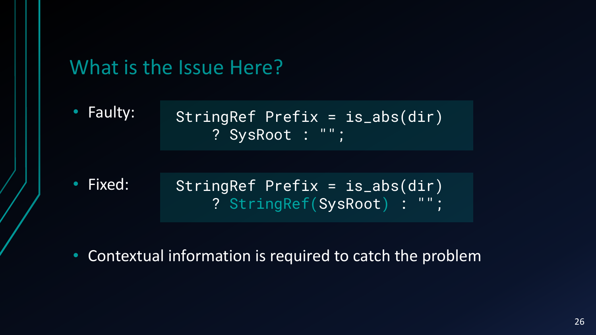

- Fixed: StringRef Prefix = is\_abs(dir) ? StringRef(SysRoot) : "";
- Contextual information is required to catch the problem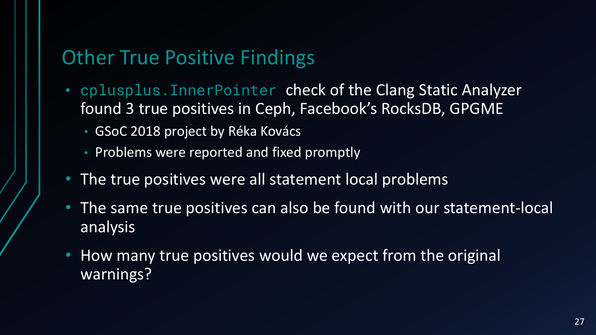# Other True Positive Findings

- cplusplus. InnerPointer check of the Clang Static Analyzer found 3 true positives in Ceph, Facebook's RocksDB, GPGME
	- GSoC 2018 project by Réka Kovács
	- Problems were reported and fixed promptly
- The true positives were all statement local problems
- The same true positives can also be found with our statement-local analysis
- How many true positives would we expect from the original warnings?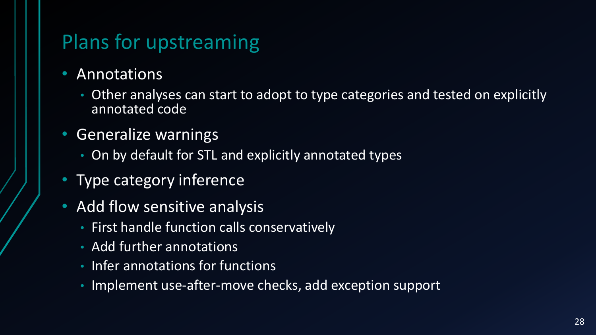# Plans for upstreaming

- Annotations
	- Other analyses can start to adopt to type categories and tested on explicitly annotated code
- Generalize warnings
	- On by default for STL and explicitly annotated types
- Type category inference
- Add flow sensitive analysis
	- First handle function calls conservatively
	- Add further annotations
	- Infer annotations for functions
	- Implement use-after-move checks, add exception support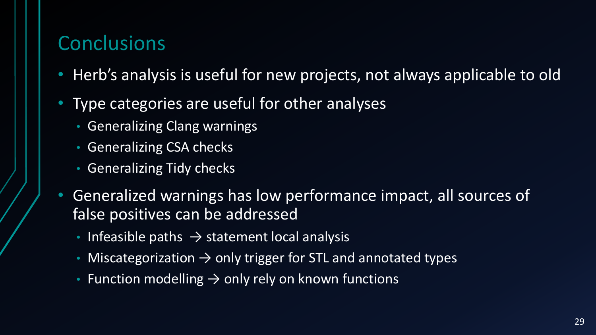# **Conclusions**

- Herb's analysis is useful for new projects, not always applicable to old
- Type categories are useful for other analyses
	- Generalizing Clang warnings
	- Generalizing CSA checks
	- Generalizing Tidy checks
- Generalized warnings has low performance impact, all sources of false positives can be addressed
	- Infeasible paths  $\rightarrow$  statement local analysis
	- Miscategorization → only trigger for STL and annotated types
	- Function modelling → only rely on known functions